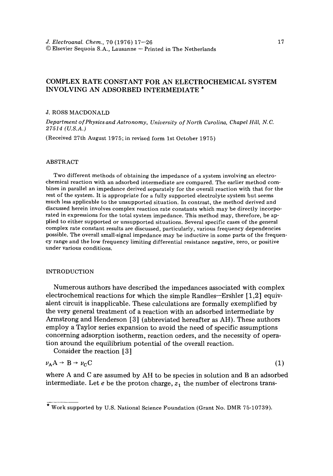# COMPLEX RATE CONSTANT FOR AN ELECTROCHEMICAL SYSTEM INVOLVING AN ADSORBED INTERMEDIATE \*

## J. ROSS MACDONALD

*Department of Physics and Astronomy, University of North Carolina, Chapel Hill, N.C. 27514 (U.S.A.)* 

(Received 27th August 1975; in revised form 1st October 1975)

#### ABSTRACT

Two different methods of obtaining the impedance of a system involving an electrochemical reaction with an adsorbed intermediate are compared. The earlier method combines in parallel an impedance derived separately for the overall reaction with that for the rest of the system. It is appropriate for a fully supported electrolyte system but seems much less applicable to the unsupported situation. In contrast, the method derived and discussed herein involves complex reaction rate constants which may be directly incorporated in expressions for the total system impedance. This method may, therefore, be applied to either supported or unsupported situations. Several specific cases of the general complex rate constant results are discussed, particularly, various frequency dependencies possible. The overall small-signal impedance may be inductive in some parts of the frequency range and the low frequency limiting differential resistance negative, zero, or positive under various conditions.

### INTRODUCTION

Numerous authors have described the impedances associated with complex electrochemical reactions for which the simple Randles--Ershler [1,2] equivalent circuit is inapplicable. These calculations are formally exemplified by the very general treatment of a reaction with an adsorbed intermediate by Armstrong and Henderson [3] (abbreviated hereafter as AH). These authors employ a Taylor series expansion to avoid the need of specific assumptions concerning adsorption isotherm, reaction orders, and the necessity of operation around the equilibrium potential of the overall reaction.

Consider the reaction [3]

$$
\nu_A A \to B \to \nu_C C \tag{1}
$$

where A and C are assumed by AH to be species in solution and B an adsorbed intermediate. Let e be the proton charge,  $z_1$  the number of electrons trans-

<sup>\*</sup> Work supported by U.S. National Science Foundation (Grant No. DMR 75-10739).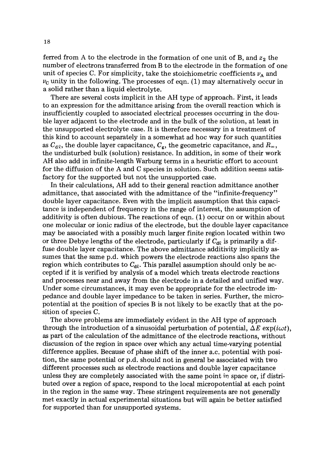ferred from A to the electrode in the formation of one unit of B, and  $z_2$  the number of electrons transferred from B to the electrode in the formation of one unit of species C. For simplicity, take the stoichiometric coefficients  $\nu_A$  and  $\nu_{\rm C}$  unity in the following. The processes of eqn. (1) may alternatively occur in a solid rather than a liquid electrolyte.

There are several costs implicit in the AH type of approach. First, it leads to an expression for the admittance arising from the overall reaction which is insufficiently coupled to associated electrical processes occurring in the double layer adjacent to the electrode and in the bulk of the solution, at least in the unsupported electrolyte case. It is therefore necessary in a treatment of this kind to account separately in a somewhat ad hoc way for such quantities as  $C_{d\ell}$ , the double layer capacitance,  $C_{g}$ , the geometric capacitance, and  $R_{\infty}$ , the undisturbed bulk (solution) resistance. In addition, in some of their work AH also add in infinite-length Warburg terms in a heuristic effort to account for the diffusion of the A and C species in solution. Such addition seems satisfactory for the supported but not the unsupported case.

In their calculations, AH add to their general reaction admittance another admittance, that associated with the admittance of the "infinite-frequency" double layer capacitance. Even with the implicit assumption that this capacitance is independent of frequency in the range of interest, the assumption of additivity is often dubious. The reactions of eqn. (1) occur on or within about one molecular or ionic radius of the electrode, but the double layer capacitance may be associated with a possibly much larger finite region located within two or three Debye lengths of the electrode, particularly if  $C_{d\ell}$  is primarily a diffuse double layer capacitance. The above admittance additivity implicitly assumes that the same p.d. which powers the electrode reactions also spans the region which contributes to  $C_{d\ell}$ . This parallel assumption should only be accepted if it is verified by analysis of a model which treats electrode reactions and processes near and away from the electrode in a detailed and unified way. Under some circumstances, it may even be appropriate for the electrode impedance and double layer impedance to be taken in series. Further, the micropotential at the position of species B is not likely to be exactly that at the position of species C.

The above problems are immediately evident in the AH type of approach through the introduction of a sinusoidal perturbation of potential,  $\Delta E \exp(i\omega t)$ , as part of the calculation of the admittance of the electrode reactions, without discussion of the region in space over which any actual time-varying potential difference applies. Because of phase shift of the inner a.c. potential with position, the same potential or p.d. should not in general be associated with two different processes such as electrode reactions and double layer capacitance unless they are completely associated with the same point in space or, if distributed over a region of space, respond to the local micropotential at each point in the region in the same way. These stringent requirements are not generally met exactly in actual experimental situations but will again be better satisfied for supported than for unsupported systems.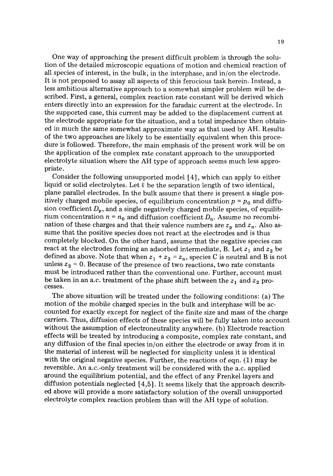One way of approaching the present difficult problem is through the solution of the detailed microscopic equations of motion and chemical reaction of all species of interest, in the bulk, in the interphase, and in/on the electrode. It is not proposed to assay all aspects of this ferocious task herein. Instead, a less ambitious alternative approach to a somewhat simpler problem will be described. First, a general, complex reaction rate constant will be derived which enters directly into an expression for the faradaic current at the electrode. In the supported case, this current may be added to the displacement current at the electrode appropriate for the situation, and a total impedance then obtained in much the same somewhat approximate way as that used by AH. Results of the two approaches are likely to be essentially equivalent when this procedure is followed. Therefore, the main emphasis of the present work will be on the application of the complex rate constant approach to the unsupported electrolyte situation where the AH type of approach seems much less appropriate.

Consider the following unsupported model [4], which can apply to either liquid or solid electrolytes. Let  $\ell$  be the separation length of two identical, plane parallel electrodes. In the bulk assume that there is present a single positively charged mobile species, of equilibrium concentration  $p = p_0$  and diffusion coefficient  $D_p$ , and a single negatively charged mobile species, of equilibrium concentration  $n = n_0$  and diffusion coefficient  $D_n$ . Assume no recombination of these charges and that their valence numbers are  $z_p$  and  $z_n$ . Also assume that the positive species does not react at the electrodes and is thus completely blocked. On the other hand, assume that the negative species can react at the electrodes forming an adsorbed intermediate, B. Let  $z_1$  and  $z_2$  be defined as above. Note that when  $z_1 + z_2 = z_n$ , species C is neutral and B is not unless  $z_2$  = 0. Because of the presence of two reactions, two rate constants must be introduced rather than the conventional one. Further, account must be taken in an a.c. treatment of the phase shift between the  $z_1$  and  $z_2$  processes.

The above situation will be treated under the following conditions: (a) The motion of the mobile charged species in the bulk and interphase will be accounted for exactly except for neglect of the finite size and mass of the charge carriers. Thus, diffusion effects of these species will be fully taken into account without the assumption of electroneutrality anywhere. (b) Electrode reaction effects will be treated by introducing a composite, complex rate constant, and any diffusion of the final species in/on either the electrode or away from it in the material of interest will be neglected for simplicity unless it is identical with the original negative species. Further, the reactions of eqn. (1) may be reversible. An a.c.-only treatment will be considered with the a.c. applied around the equilibrium potential, and the effect of any Frenkel layers and diffusion potentials neglected  $[4,5]$ . It seems likely that the approach described above will provide a more satisfactory solution of the overall unsupported electrolyte complex reaction problem than will the AH type of solution.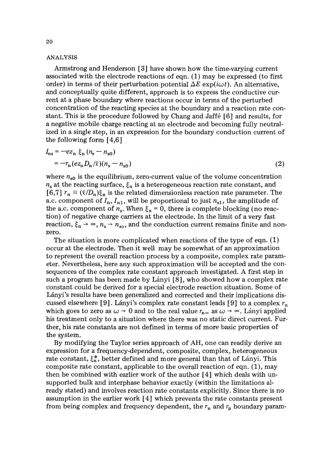## ANALYSIS

Armstrong and Henderson [3] have shown how the time-varying current associated with the electrode reactions of eqn. (I) may be expressed (to first order) in terms of their perturbation potential  $\Delta E$  exp(i $\omega t$ ). An alternative, and conceptually quite different, approach is to express the conductive current at a phase boundary where reactions occur in terms of the perturbed concentration of the reacting species at the boundary and a reaction rate constant. This is the procedure followed by Chang and Jaffé [6] and results, for a negative mobile charge reacting at an electrode and becoming fully neutralized in a single step, in an expression for the boundary conduction current of the following form [4,6]

$$
I_{\rm ns} = -e z_{\rm n} \xi_{\rm n} (n_{\rm s} - n_{\rm s0})
$$
  
=  $-r_{\rm n} (e z_{\rm n} D_{\rm n}/\ell)(n_{\rm s} - n_{\rm s0})$  (2)

where  $n_{s0}$  is the equilibrium, zero-current value of the volume concentration  $n_s$  at the reacting surface,  $\xi_n$  is a heterogeneous reaction rate constant, and  $[6,7]$   $r_n \equiv (\ell/D_n)\xi_n$  is the related dimensionless reaction rate parameter. The a.c. component of  $I_n$ ,  $I_{n1}$ , will be proportional to just  $n_{s1}$ , the amplitude of the a.c. component of  $n_s$ . When  $\xi_n = 0$ , there is complete blocking (no reaction) of negative charge carriers at the electrode. In the limit of a very fast reaction,  $\xi_n \rightarrow \infty$ ,  $n_s \rightarrow n_{so}$ , and the conduction current remains finite and nonzero.

The situation is more complicated when reactions of the type of eqn. (1) occur at the electrode. Then it well may be somewhat of an approximation to represent the overall reaction process by a composite, complex rate parameter. Nevertheless, here any such approximation will be accepted and the consequences of the complex rate constant approach investigated. A first step in such a program has been made by Lányi  $[8]$ , who showed how a complex rate constant could be derived for a special electrode reaction situation. Some of Lányi's results have been generalized and corrected and their implications discussed elsewhere [9]. Lányi's complex rate constant leads [9] to a complex  $r_n$ which goes to zero as  $\omega \rightarrow 0$  and to the real value  $r_{\text{n}\infty}$  as  $\omega \rightarrow \infty$ . Lányi applied his treatment only to a situation where there was no static direct current. Further, his rate constants are not defined in terms of more basic properties of the system.

By modifying the Taylor series approach of AH, one can readily derive an expression for a frequency-dependent, composite, complex, heterogeneous rate constant,  $\xi_n^*$ , better defined and more general than that of Lányi. This composite rate constant, applicable to the overall reaction of eqn. (1), may then be combined with earlier work of the author [4] which deals with unsupported bulk and interphase behavior exactly (within the limitations already stated) and involves reaction rate constants explicitly. Since there is no assumption in the earlier work [4] which prevents the rate constants present from being complex and frequency dependent, the  $r_n$  and  $r_p$  boundary param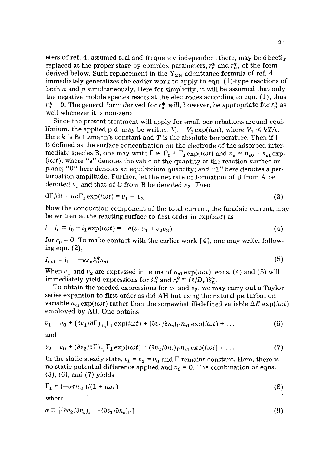eters of ref. 4, assumed real and frequency independent there, may be directly replaced at the proper stage by complex parameters,  $r_n^*$  and  $r_0^*$ , of the form derived below. Such replacement in the  $Y_{2N}$  admittance formula of ref. 4 immediately generalizes the earlier work to apply to eqn. (1)-type reactions of both n and p simultaneously. Here for simplicity, it will be assumed that only the negative mobile species reacts at the electrodes according to eqn. (1); thus  $r_{\rm p}^*$  = 0. The general form derived for  $r_{\rm n}^*$  will, however, be appropriate for  $r_{\rm p}^*$  as well whenever it is non-zero.

Since the present treatment will apply for small perturbations around equilibrium, the applied p.d. may be written  $V_a = V_1 \exp(i\omega t)$ , where  $V_1 \ll kT/e$ . Here k is Boltzmann's constant and T is the absolute temperature. Then if  $\Gamma$ is defined as the surface concentration on the electrode of the adsorbed intermediate species B, one may write  $\Gamma \cong \Gamma_0 + \Gamma_1 \exp(i\omega t)$  and  $n_s \cong n_{s0} + n_{s1} \exp(-i\omega t)$  $(i\omega t)$ , where "s" denotes the value of the quantity at the reaction surface or plane; "0" here denotes an equilibrium quantity; and "1" here denotes a perturbation amplitude. Further, let the net rate of formation of B from A be denoted  $v_1$  and that of C from B be denoted  $v_2$ . Then

$$
d\Gamma/dt = i\omega\Gamma_1 \exp(i\omega t) = v_1 - v_2 \tag{3}
$$

Now the conduction component of the total current, the faradaic current, may be written at the reacting surface to first order in  $\exp(i\omega t)$  as

$$
i = i_n \equiv i_0 + i_1 \exp(i\omega t) = -e(z_1 v_1 + z_2 v_2)
$$
 (4)

for  $r_p = 0$ . To make contact with the earlier work [4], one may write, following eqn. (2),

$$
I_{\rm ns1} = i_1 = -e z_{\rm n} \xi_{\rm n}^* n_{\rm s1} \tag{5}
$$

When  $v_1$  and  $v_2$  are expressed in terms of  $n_{s1} \exp(i\omega t)$ , eqns. (4) and (5) will immediately yield expressions for  $\xi_n^*$  and  $r_n^* \equiv (\ell/D_n)\xi_n^*$ .

To obtain the needed expressions for  $v_1$  and  $v_2$ , we may carry out a Taylor series expansion to first order as did AH but using the natural perturbation variable  $n_{s1} \exp(i\omega t)$  rather than the somewhat ill-defined variable  $\Delta E \exp(i\omega t)$ employed by AH. One obtains

$$
v_1 = v_0 + (\partial v_1/\partial \Gamma)_{n_s} \Gamma_1 \exp(i\omega t) + (\partial v_1/\partial n_s)_{\Gamma} n_{s1} \exp(i\omega t) + \dots \tag{6}
$$

and

$$
v_2 = v_0 + (\partial v_2/\partial \Gamma)_{n_s} \Gamma_1 \exp(i\omega t) + (\partial v_2/\partial n_s)_{\Gamma} n_{s1} \exp(i\omega t) + ... \qquad (7)
$$

In the static steady state,  $v_1 = v_2 = v_0$  and  $\Gamma$  remains constant. Here, there is no static potential difference applied and  $v_0 = 0$ . The combination of eqns. (3), (6), and (7) yields

$$
\Gamma_1 = (-\alpha \tau n_{s1})/(1 + i\omega \tau) \tag{8}
$$

where

$$
\alpha \equiv [(\partial v_2/\partial n_s)_{\Gamma} - (\partial v_1/\partial n_s)_{\Gamma}] \tag{9}
$$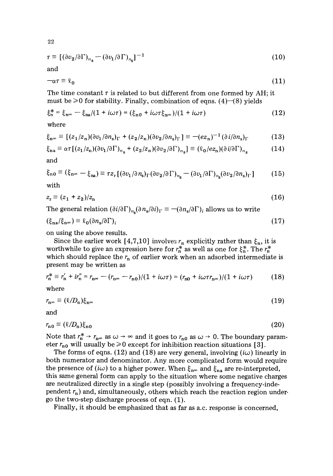$$
\tau \equiv \left[ (\partial v_2 / \partial \Gamma)_{n_{\rm s}} - (\partial v_1 / \partial \Gamma)_{n_{\rm s}} \right]^{-1} \tag{10}
$$

and

$$
-\alpha \tau \equiv \ell_0 \tag{11}
$$

The time constant  $\tau$  is related to but different from one formed by AH; it must be  $\geq 0$  for stability. Finally, combination of eqns. (4)–(8) yields

$$
\xi_n^* = \xi_{n\infty} - \xi_{na}/(1 + i\omega\tau) = (\xi_{n0} + i\omega\tau\xi_{n\infty})/(1 + i\omega\tau)
$$
 (12)

where

$$
\xi_{n^{\infty}} \equiv \left[ (z_1/z_n)(\partial v_1/\partial n_s)_{\Gamma} + (z_2/z_n)(\partial v_2/\partial n_s)_{\Gamma} \right] \equiv -(ez_n)^{-1} (\partial i/\partial n_s)_{\Gamma}
$$
(13)

$$
\xi_{\mathbf{n}\mathbf{a}} \equiv \alpha \tau \left[ (z_1/z_{\mathbf{n}}) (\partial v_1/\partial \Gamma)_{n_{\mathbf{s}}} + (z_2/z_{\mathbf{n}}) (\partial v_2/\partial \Gamma)_{n_{\mathbf{s}}} \right] \equiv (\ell_0 / e z_{\mathbf{n}}) (\partial i / \partial \Gamma)_{n_{\mathbf{s}}} \tag{14}
$$

*and* 

$$
\xi_{\rm n0} \equiv (\xi_{\rm n\infty} - \xi_{\rm na}) \equiv \tau z_{\rm r} \left[ (\partial v_1 / \partial n_{\rm s})_{\Gamma} (\partial v_2 / \partial \Gamma)_{n_{\rm s}} - (\partial v_1 / \partial \Gamma)_{n_{\rm s}} (\partial v_2 / \partial n_{\rm s})_{\Gamma} \right] \tag{15}
$$

with

$$
z_{\rm r} \equiv (z_1 + z_2)/z_{\rm n} \tag{16}
$$

The general relation  $(\partial i/\partial \Gamma)_{n_{s}}(\partial n_{s}/\partial i)_{\Gamma} \equiv -(\partial n_{s}/\partial \Gamma)_{i}$  allows us to write

$$
(\xi_{\mathbf{n}\alpha}/\xi_{\mathbf{n}\infty}) \equiv \ell_0(\partial n_{\mathbf{s}}/\partial \Gamma)_i
$$
\n(17)

on using the above results.

Since the earlier work [4,7,10] involves  $r_n$  explicitly rather than  $\xi_n$ , it is worthwhile to give an expression here for  $r_n^*$  as well as one for  $\xi_n^*$ . The  $r_n^*$ which should replace the  $r_n$  of earlier work when an adsorbed intermediate is present may be written as

$$
r_{\rm n}^* \equiv r_{\rm n}' + ir_{\rm n}'' = r_{\rm n\infty} - (r_{\rm n\infty} - r_{\rm n0})/(1 + i\omega\tau) = (r_{\rm n0} + i\omega\tau r_{\rm n\infty})/(1 + i\omega\tau) \tag{18}
$$

where

$$
r_{\mathbf{n}^{\infty}} \equiv (\ell/D_{\mathbf{n}})\xi_{\mathbf{n}^{\infty}} \tag{19}
$$

and

$$
r_{n0} \equiv (\ell/D_n)\xi_{n0} \tag{20}
$$

Note that  $r_n^* \rightarrow r_{n^\infty}$  as  $\omega \rightarrow \infty$  and it goes to  $r_{n0}$  as  $\omega \rightarrow 0$ . The boundary parameter  $r_{n0}$  will usually be  $\geq 0$  except for inhibition reaction situations [3].

The forms of eqns. (12) and (18) are very general, involving  $(i\omega)$  linearly in both numerator and denominator. Any more complicated form would require the presence of  $(i\omega)$  to a higher power. When  $\xi_{n\infty}$  and  $\xi_{n\alpha}$  are re-interpreted, this same general form can apply to the situation where some negative charges are neutralized directly in a single step (possibly involving a frequency-independent  $r_n$ ) and, simultaneously, others which reach the reaction region undergo the two-step discharge process of eqn. (1).

Finally, it should be emphasized that as far as a.c. response is concerned,

22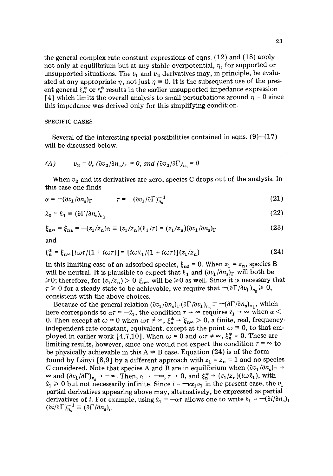the general complex rate constant expressions of eqns. (12) and (18) apply not only at equilibrium but at any stable overpotential,  $\eta$ , for supported or unsupported situations. The  $v_1$  and  $v_2$  derivatives may, in principle, be evaluated at any appropriate  $\eta$ , not just  $\eta \equiv 0$ . It is the subsequent use of the present general  $\xi_n^*$  or  $r_n^*$  results in the earlier unsupported impedance expression [4] which limits the overall analysis to small perturbations around  $\eta = 0$  since this impedance was derived only for this simplifying condition.

## SPECIFIC CASES

Several of the interesting special possibilities contained in eqns.  $(9)$ - $(17)$ will be discussed below.

(A) 
$$
v_2 = 0
$$
,  $(\partial v_2 / \partial n_s)_\Gamma = 0$ , and  $(\partial v_2 / \partial \Gamma)_{n_s} = 0$ 

When  $v_2$  and its derivatives are zero, species C drops out of the analysis. In this case one finds

$$
\alpha = -(\partial v_1/\partial n_s)_\Gamma \qquad \qquad \tau = -(\partial v_1/\partial \Gamma)_{n_s}^{-1} \tag{21}
$$

$$
\ell_0 = \ell_1 \equiv (\partial \Gamma / \partial n_s)_{v_1} \tag{22}
$$

$$
\xi_{n\infty} = \xi_{n\mathbf{a}} = -(z_1/z_n)\alpha \equiv (z_1/z_n)(\ell_1/\tau) = (z_1/z_n)(\partial v_1/\partial n_s)_\Gamma \tag{23}
$$

and

$$
\xi_n^* = \xi_{n\infty} [i\omega\tau/(1 + i\omega\tau)] = [i\omega\ell_1/(1 + i\omega\tau)](z_1/z_n)
$$
 (24)

In this limiting case of an adsorbed species,  $\xi_{n0} = 0$ . When  $z_1 = z_n$ , species B will be neutral. It is plausible to expect that  $\ell_1$  and  $(\partial v_1/\partial n_s)_\Gamma$  will both be  $\geqslant$ 0; therefore, for  $(z_1/z_n) > 0 \xi_{n\infty}$  will be  $\geqslant$ 0 as well. Since it is necessary that  $\tau \geq 0$  for a steady state to be achievable, we require that  $-(\partial \Gamma/\partial v_1)_{n_\tau} \geq 0$ , consistent with the above choices.

Because of the general relation  $(\partial v_1/\partial n_s)_\Gamma (\partial \Gamma/\partial v_1)_{n_s} = -(\partial \Gamma/\partial n_s)_{v_1}$ , which here corresponds to  $\alpha \tau = -\ell_1$ , the condition  $\tau \to \infty$  requires  $\ell_1 \to \infty$  when  $\alpha <$ 0. Then except at  $\omega = 0$  when  $\omega \tau \neq \infty$ ,  $\xi_n^* \to \xi_{n\infty} > 0$ , a finite, real, frequencyindependent rate constant, equivalent, except at the point  $\omega \equiv 0$ , to that employed in earlier work [4,7,10]. When  $\omega = 0$  and  $\omega \tau \neq \infty$ ,  $\xi_n^* = 0$ . These are limiting results, however, since one would not expect the condition  $\tau = \infty$  to be physically achievable in this  $A \rightleftharpoons B$  case. Equation (24) is of the form found by Lányi [8,9] by a different approach with  $z_1 = z_n = 1$  and no species C considered. Note that species A and B are in equilibrium when  $(\partial v_1/\partial n_s)_\Gamma \rightarrow$  $\infty$  and  $(\partial v_1/\partial\Gamma)_{n_s}$   $\rightarrow$   $-\infty$ . Then,  $\alpha \rightarrow -\infty$ ,  $\tau \rightarrow 0$ , and  $\xi_n^* \rightarrow (z_1/z_n)(i\omega\ell_1)$ , with  $\ell_1 \geq 0$  but not necessarily infinite. Since  $i = -e z_1 v_1$  in the present case, the  $v_1$ partial derivatives appearing above may, alternatively, be expressed as partial derivatives of *i*. For example, using  $\ell_1 = -\alpha \tau$  allows one to write  $\ell_1 = -(\partial i/\partial n_s)_I$  $(\partial i/\partial \Gamma)_{n_{\rm s}}^{-1} \equiv (\partial \Gamma/\partial n_{\rm s})_{i}.$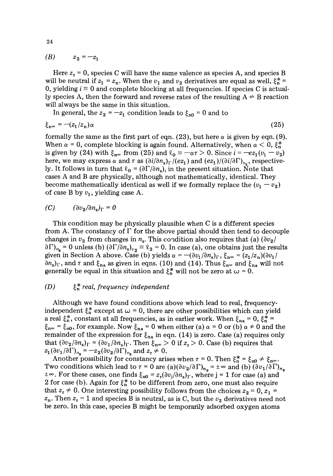*(B)*  $z_2 = -z_1$ 

Here  $z_r = 0$ , species C will have the same valence as species A, and species B will be neutral if  $z_1 = z_n$ . When the  $v_1$  and  $v_2$  derivatives are equal as well,  $\xi_n^* =$ 0, yielding  $i \equiv 0$  and complete blocking at all frequencies. If species C is actually species A, then the forward and reverse rates of the resulting  $A \rightleftharpoons B$  reaction will always be the same in this situation.

In general, the  $z_2 = -z_1$  condition leads to  $\xi_{n0} = 0$  and to

$$
\xi_{n^{\infty}} = -(z_1/z_n)\alpha \tag{25}
$$

formally the same as the first part of eqn. (23), but here  $\alpha$  is given by eqn. (9). When  $\alpha = 0$ , complete blocking is again found. Alternatively, when  $\alpha < 0$ ,  $\xi_n^*$ is given by (24) with  $\xi_{n\infty}$  from (25) and  $\ell_0 = -\alpha \tau > 0$ . Since  $i = -e z_1(v_1 - v_2)$ here, we may express  $\alpha$  and  $\tau$  as  $(\partial i/\partial n_s)_\Gamma/(ez_1)$  and  $(ez_1)/(\partial i/\partial \Gamma)_{n_s}$ , respectively. It follows in turn that  $\ell_0 = (\partial \Gamma/\partial n_s)_i$  in the present situation. Note that cases A and B are physically, although not mathematically, identical. They become mathematically identical as well if we formally replace the  $(v_1 - v_2)$ of case B by  $v_1$ , yielding case A.

$$
(C) \qquad (\partial v_2 / \partial n_{\rm s})_{\Gamma} = 0
$$

This condition may be physically plausible when C is a different species from A. The constancy of  $\Gamma$  for the above partial should then tend to decouple changes in  $v_2$  from changes in  $n_s$ . This condition also requires that (a)  $(\partial v_2 /$  $\partial \Gamma_{n_s} = 0$  unless (b)  $(\partial \Gamma / \partial n_s)_{v_2} = \ell_2 = 0$ . In case (a), one obtains just the results given in Section A above. Case (b) yields  $\alpha = -(\partial v_1/\partial n_s)_\Gamma$ ,  $\xi_{\mathbf{n}^{\infty}} = (z_1/z_{\mathbf{n}})(\partial v_1/\partial n_s)$  $\partial n_s$ <sub>r</sub>, and  $\tau$  and  $\xi_{na}$  as given in eqns. (10) and (14). Thus  $\xi_{na}$  and  $\xi_{na}$  will not generally be equal in this situation and  $\xi_n^*$  will not be zero at  $\omega = 0$ .

## *(D) ~\*, real, frequency independent*

Although we have found conditions above which lead to real, frequencyindependent  $\xi_n^*$  except at  $\omega = 0$ , there are other possibilities which can yield a real  $\xi_n^*$ , constant at all frequencies, as in earlier work. When  $\xi_{na} = 0$ ,  $\xi_n^* = 0$  $\xi_{n\infty} = \xi_{n0}$ , for example. Now  $\xi_{n\alpha} = 0$  when either (a)  $\alpha = 0$  or (b)  $\alpha \neq 0$  and the remainder of the expression for  $\xi_{na}$  in eqn. (14) is zero. Case (a) requires only that  $(\partial v_2/\partial n_s)_\Gamma = (\partial v_1/\partial n_s)_\Gamma$ . Then  $\xi_{n^\infty} > 0$  if  $z_r > 0$ . Case (b) requires that  $z_1 (\partial v_1/\partial \Gamma)_{n_s} = -z_2 (\partial v_2/\partial \Gamma)_{n_s}$  and  $z_r \neq 0$ .

Another possibility for constancy arises when  $\tau = 0$ . Then  $\xi_n^* = \xi_{n0} \neq \xi_{n\infty}$ . Two conditions which lead to  $\tau = 0$  are  $(a)(\partial v_2/\partial \Gamma)_{n_s} = \pm \infty$  and (b)  $(\partial v_1/\partial \Gamma)_{n_s}$  $\pm \infty$ . For these cases, one finds  $\xi_{n0} = z_r(\partial v_i/\partial n_s)_\Gamma$ , where j = 1 for case (a) and 2 for case (b). Again for  $\xi_n^*$  to be different from zero, one must also require that  $z_r \neq 0$ . One interesting possibility follows from the choices  $z_2 = 0$ ,  $z_1 =$  $z_n$ . Then  $z_r = 1$  and species B is neutral, as is C, but the  $v_2$  derivatives need not be zero. In this case, species B might be temporarily adsorbed oxygen atoms

24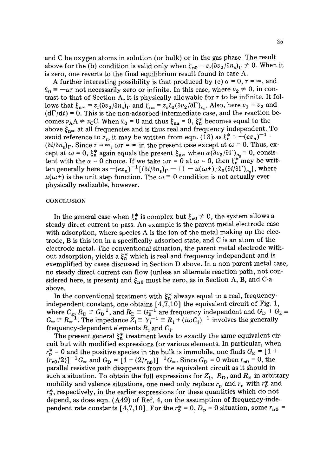and C be oxygen atoms in solution (or bulk) or in the gas phase. The result above for the (b) condition is valid only when  $\xi_{n0} = z_r(\partial v_2/\partial n_s)_\Gamma \neq 0$ . When it is zero, one reverts to the final equilibrium result found in case A.

A further interesting possibility is that produced by (c)  $\alpha = 0$ ,  $\tau = \infty$ , and  $\ell_0 \equiv -\alpha\tau$  not necessarily zero or infinite. In this case, where  $v_2 \neq 0$ , in contrast to that of Section A, it is physically allowable for  $\tau$  to be infinite. It follows that  $\xi_{n\infty} = z_r(\partial v_2/\partial n_s)_\Gamma$  and  $\xi_{n\mathbf{a}} = z_r\ell_0(\partial v_2/\partial \Gamma)_{n_c}$ . Also, here  $v_1 = v_2$  and  $(d\Gamma/dt) = 0$ . This is the non-adsorbed-intermediate case, and the reaction becomes  $v_A A \rightleftharpoons v_C C$ . When  $\ell_0 = 0$  and thus  $\xi_{na} = 0$ ,  $\xi_n^*$  becomes equal to the above  $\xi_{\text{no}}$  at all frequencies and is thus real and frequency independent. To avoid reference to  $z_r$ , it may be written from eqn. (13) as  $\xi_n^* = -(ez_n)^{-1}$ .  $(\partial i/\partial n_{s})_{\Gamma}$ . Since  $\tau = \infty$ ,  $\omega\tau = \infty$  in the present case except at  $\omega = 0$ . Thus, except at  $\omega = 0$ ,  $\xi_n^*$  again equals the present  $\xi_{n\infty}$  when  $\alpha(\partial v_2/\partial\Gamma)_{n\infty} = 0$ , consistent with the  $\alpha = 0$  choice. If we take  $\omega \tau = 0$  at  $\omega = 0$ , then  $\xi_n^*$  may be written generally here as  $-(ez_n)^{-1} [(\partial i/\partial n_s)_\Gamma - (1 - u(\omega^+)) \ell_0 (\partial i/\partial \Gamma)_{n_s}],$  where  $u(\omega t)$  is the unit step function. The  $\omega \equiv 0$  condition is not actually ever physically realizable, however.

#### **CONCLUSION**

In the general case when  $\xi_n^*$  is complex but  $\xi_{n0} \neq 0$ , the system allows a steady direct current to pass. An example is the parent metal electrode case with adsorption, where species A is the ion of the metal making up the electrode, B is this ion in a specifically adsorbed state, and C is an atom of the electrode metal. The conventional situation, the parent metal electrode without adsorption, yields a  $\xi_n^*$  which is real and frequency independent and is exemplified by cases discussed in Section D above. In a non-parent-metal case, no steady direct current can flow (unless an alternate reaction path, not considered here, is present) and  $\xi_{n0}$  must be zero, as in Section A, B, and C-a above.

In the conventional treatment with  $\xi_n^*$  always equal to a real, frequencyindependent constant, one obtains [4,7,10] the equivalent circuit of Fig. 1, where  $C_{\rm g}, R_{\rm D} \equiv G_{\rm D}^{-1}$ , and  $R_{\rm E} \equiv G_{\rm E}^{-1}$  are frequency independent and  $G_{\rm D}$  +  $G_{\rm E}$  $G_{\infty} \equiv R_{\infty}^{-1}$ . The impedance  $Z_i \equiv Y_i^{-1} \equiv R_i + (i\omega C_i)^{-1}$  involves the generally frequency-dependent elements  $R_i$  and  $C_i$ .

The present general  $\xi_n^*$  treatment leads to exactly the same equivalent circuit but with modified expressions for various elements. In particular, when  $r_{\rm p}^*$  = 0 and the positive species in the bulk is immobile, one finds  $G_{\rm E}$  = [1 +  $(r_{n0}/2)$ <sup>-1</sup> $G_{\infty}$  and  $G_{\rm D} = [1 + (2/r_{n0})]^{-1} G_{\infty}$ . Since  $G_{\rm D} = 0$  when  $r_{n0} = 0$ , the parallel resistive path disappears from the equivalent circuit as it should in such a situation. To obtain the full expressions for  $Z_i$ ,  $R_D$ , and  $R_E$  in arbitrary mobility and valence situations, one need only replace  $r_p$  and  $r_n$  with  $r_p^*$  and  $r_{\rm n}^{*}$ , respectively, in the earlier expressions for these quantities which do not depend, as does eqn. (A49) of Ref. 4, on the assumption of frequency-independent rate constants [4,7,10]. For the  $r_p^* = 0$ ,  $D_p = 0$  situation, some  $r_{n0} =$